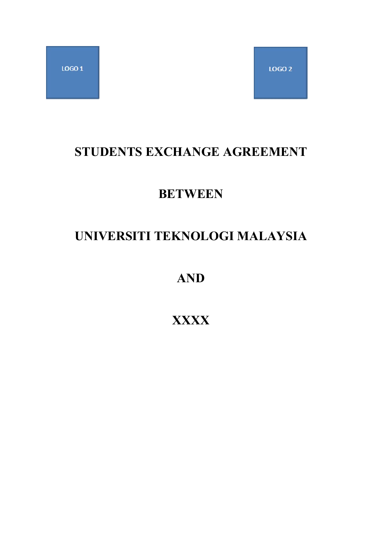## **STUDENTS EXCHANGE AGREEMENT**

## **BETWEEN**

# **UNIVERSITI TEKNOLOGI MALAYSIA**

**AND**

## **XXXX**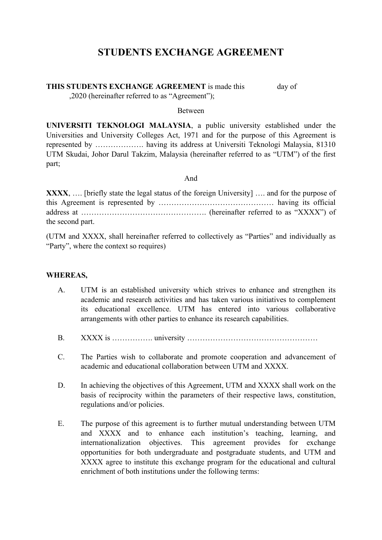## **STUDENTS EXCHANGE AGREEMENT**

#### **THIS STUDENTS EXCHANGE AGREEMENT** is made this day of

,2020 (hereinafter referred to as"Agreement");

#### Between

**UNIVERSITI TEKNOLOGI MALAYSIA**, a public university established under the Universities and University Colleges Act, 1971 and for the purpose of this Agreement is represented by ………………. having its address at Universiti Teknologi Malaysia, 81310 UTM Skudai, Johor Darul Takzim, Malaysia (hereinafter referred to as "UTM") of the first part;

#### And

**XXXX**, .... [briefly state the legal status of the foreign University] .... and for the purpose of this Agreement is represented by ……………………………………… having its official address at …………………………………………. (hereinafter referred to as "XXXX") of the second part.

(UTM and XXXX, shall hereinafter referred to collectively as "Parties" and individually as "Party", where the context so requires)

#### **WHEREAS,**

- A. UTM is an established university which strives to enhance and strengthen its academic and research activities and has taken various initiatives to complement its educational excellence. UTM has entered into various collaborative arrangements with other parties to enhance its research capabilities.
- B. XXXX is ……………. university ……………………………………………
- C. The Parties wish to collaborate and promote cooperation and advancement of academic and educational collaboration between UTM and XXXX.
- D. In achieving the objectives of this Agreement, UTM and XXXX shall work on the basis of reciprocity within the parameters of their respective laws, constitution, regulations and/or policies.
- E. The purpose of this agreement is to further mutual understanding between UTM and XXXX and to enhance each institution's teaching, learning, and internationalization objectives. This agreement provides for exchange opportunities for both undergraduate and postgraduate students, and UTM and XXXX agree to institute this exchange program for the educational and cultural enrichment of both institutions under the following terms: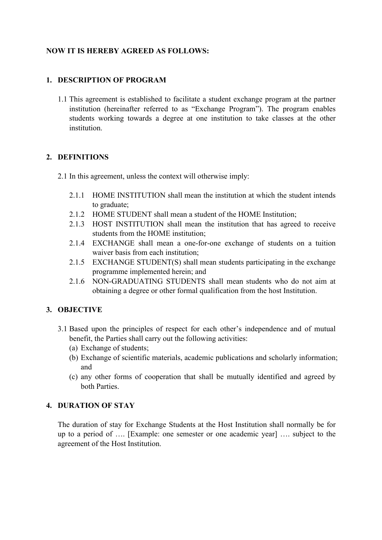## **NOW IT IS HEREBY AGREED AS FOLLOWS:**

## **1. DESCRIPTION OF PROGRAM**

1.1 This agreement is established to facilitate a student exchange program at the partner institution (hereinafter referred to as "Exchange Program"). The program enables students working towards a degree at one institution to take classes at the other institution.

## **2. DEFINITIONS**

- 2.1 In this agreement, unless the context will otherwise imply:
	- 2.1.1 HOME INSTITUTION shall mean the institution at which the student intends to graduate;
	- 2.1.2 HOME STUDENT shall mean a student of the HOME Institution;
	- 2.1.3 HOST INSTITUTION shall mean the institution that has agreed to receive students from the HOME institution;
	- 2.1.4 EXCHANGE shall mean a one-for-one exchange of students on a tuition waiver basis from each institution;
	- 2.1.5 EXCHANGE STUDENT(S) shall mean students participating in the exchange programme implemented herein; and
	- 2.1.6 NON-GRADUATING STUDENTS shall mean students who do not aim at obtaining a degree or other formal qualification from the host Institution.

## **3. OBJECTIVE**

- 3.1 Based upon the principles of respect for each other's independence and of mutual benefit, the Parties shall carry out the following activities:
	- (a) Exchange of students;
	- (b) Exchange of scientific materials, academic publications and scholarly information; and
	- (c) any other forms of cooperation that shall be mutually identified and agreed by both Parties.

### **4. DURATION OF STAY**

The duration of stay for Exchange Students at the Host Institution shall normally be for up to a period of …. [Example: one semester or one academic year] …. subject to the agreement of the Host Institution.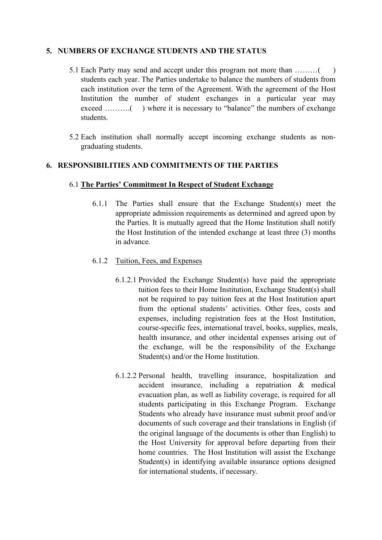### **5. NUMBERS OF EXCHANGE STUDENTS AND THE STATUS**

- 5.1 Each Party may send and accept under this program not more than ………( ) students each year. The Parties undertake to balance the numbers of students from each institution over the term of the Agreement. With the agreement of the Host Institution the number of student exchanges in a particular year may exceed ……….( ) where it is necessary to "balance" the numbers of exchange students.
- 5.2 Each institution shall normally accept incoming exchange students as non graduating students.

## **6. RESPONSIBILITIES AND COMMITMENTS OF THE PARTIES**

### 6.1 **The Parties' Commitment In Respect of Student Exchange**

6.1.1 The Parties shall ensure that the Exchange Student(s) meet the appropriate admission requirements as determined and agreed upon by the Parties. It is mutually agreed that the Home Institution shall notify the Host Institution of the intended exchange at least three (3) months in advance.

### 6.1.2 Tuition, Fees, and Expenses

- 6.1.2.1 Provided the Exchange Student(s) have paid the appropriate tuition fees to their Home Institution, Exchange Student(s) shall not be required to pay tuition fees at the Host Institution apart from the optional students' activities. Other fees, costs and expenses, including registration feesat the Host Institution, course-specific fees, international travel, books, supplies, meals, health insurance, and other incidental expenses arising out of the exchange, will be the responsibility of the Exchange Student(s) and/or the Home Institution.
- 6.1.2.2 Personal health, travelling insurance, hospitalization and accident insurance, including a repatriation & medical evacuation plan, as well as liability coverage, is required for all students participating in this Exchange Program. Exchange Students who already have insurance must submit proof and/or documents of such coverage and their translations in English (if the original language of the documents is other than English) to the Host University for approval before departing from their home countries. The Host Institution will assist the Exchange Student(s) in identifying available insurance options designed for international students, if necessary.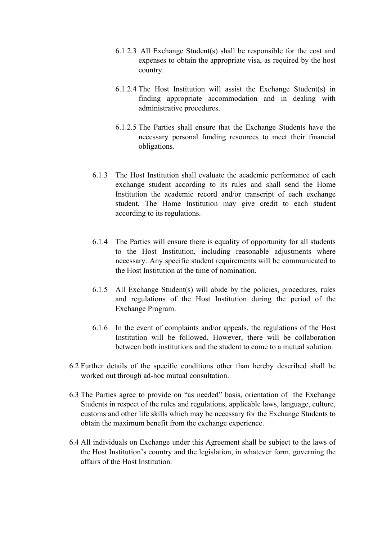- 6.1.2.3 All Exchange Student(s) shall be responsible for the cost and expenses to obtain the appropriate visa, as required by the host country.
- 6.1.2.4 The Host Institution will assist the Exchange Student(s) in finding appropriate accommodation and in dealing with administrative procedures.
- 6.1.2.5 The Parties shall ensure that the Exchange Students have the necessary personal funding resources to meet their financial obligations.
- 6.1.3 The Host Institution shall evaluate the academic performance of each exchange student according to its rules and shall send the Home Institution the academic record and/or transcript of each exchange student. The Home Institution may give credit to each student according to its regulations.
- 6.1.4 The Parties will ensure there is equality of opportunity for all students to the Host Institution, including reasonable adjustments where necessary. Any specific student requirements will be communicated to the Host Institution at the time of nomination.
- 6.1.5 All Exchange Student(s) will abide by the policies, procedures, rules and regulations of the Host Institution during the period of the Exchange Program.
- 6.1.6 In the event of complaints and/or appeals, the regulations of the Host Institution will be followed. However, there will be collaboration between both institutions and the student to come to a mutual solution.
- $6.2$  Further details of the specific conditions other than hereby described shall be worked out through ad-hoc mutual consultation.
- 6.3 The Parties agree to provide on "as needed" basis, orientation of the Exchange Students in respect of the rules and regulations, applicable laws, language, culture, customs and other life skills which may be necessary for the Exchange Students to obtain the maximum benefit from the exchange experience.
- 6.4 All individuals on Exchange under this Agreement shall be subject to the laws of the Host Institution's country and the legislation, in whatever form, governing the affairs of the Host Institution.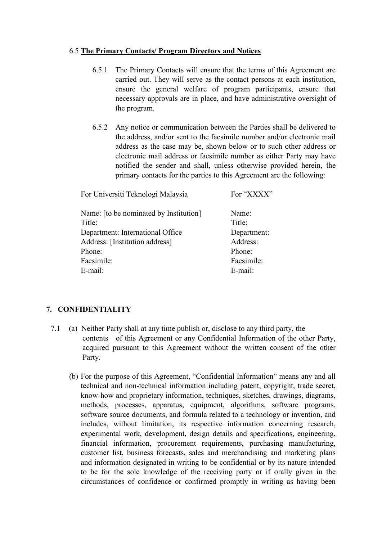### 6.5 **The Primary Contacts/ Program Directors and Notices**

- 6.5.1 The Primary Contacts will ensure that the terms of this Agreement are carried out. They will serve as the contact persons at each institution, ensure the general welfare of program participants, ensure that necessary approvals are in place, and have administrative oversight of the program.
- 6.5.2 Any notice or communication between the Parties shall be delivered to the address, and/or sent to the facsimile number and/or electronic mail address as the case may be, shown below or to such other address or electronic mail address or facsimile number as either Party may have notified the sender and shall, unless otherwise provided herein, the primary contacts for the parties to this Agreement are the following:

| For Universiti Teknologi Malaysia      | For "XXXX"  |
|----------------------------------------|-------------|
| Name: [to be nominated by Institution] | Name:       |
| Title:                                 | Title:      |
| Department: International Office       | Department: |
| Address: [Institution address]         | Address:    |
| Phone:                                 | Phone:      |
| Facsimile:                             | Facsimile:  |
| E-mail:                                | E-mail:     |
|                                        |             |

## **7. CONFIDENTIALITY**

- 7.1 (a) Neither Party shall at any time publish or, disclose to any third party, the contents of this Agreement or any Confidential Information of the other Party, acquired pursuant to this Agreement without the written consent of the other Party.
	- (b) For the purpose of this Agreement, "Confidential Information" means any and all technical and non-technical information including patent, copyright, trade secret, know-how and proprietary information, techniques, sketches, drawings, diagrams, methods, processes, apparatus, equipment, algorithms, software programs, software source documents, and formula related to a technology or invention, and includes, without limitation, its respective information concerning research, experimental work, development, design details and specifications, engineering, financial information, procurement requirements, purchasing manufacturing, customer list, business forecasts, sales and merchandising and marketing plans and information designated in writing to be confidential or by its nature intended to be for the sole knowledge of the receiving party or if orally given in the circumstances of confidence or confirmed promptly in writing as having been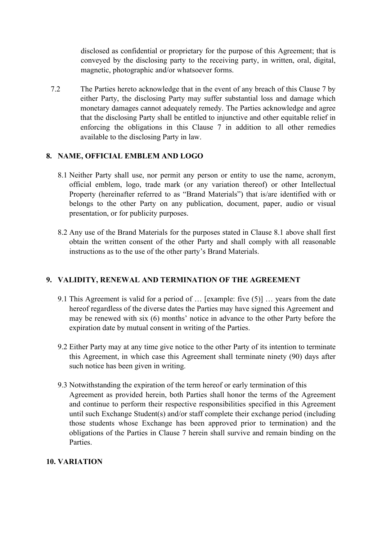disclosed as confidential or proprietary for the purpose of this Agreement; that is conveyed by the disclosing party to the receiving party, in written, oral, digital, magnetic, photographic and/or whatsoever forms.

7.2 The Parties hereto acknowledge that in the event of any breach of this Clause 7 by either Party, the disclosing Party may suffer substantial loss and damage which monetary damages cannot adequately remedy. The Parties acknowledge and agree that the disclosing Party shall be entitled to injunctive and other equitable relief in enforcing the obligations in this Clause 7 in addition to all other remedies available to the disclosing Party in law.

## **8. NAME, OFFICIAL EMBLEM AND LOGO**

- 8.1 Neither Party shall use, nor permit any person or entity to use the name, acronym, official emblem, logo, trade mark (or any variation thereof) or other Intellectual Property (hereinafter referred to as "Brand Materials") that is/are identified with or belongs to the other Party on any publication, document, paper, audio or visual presentation, or for publicity purposes.
- 8.2 Any use of the Brand Materials for the purposes stated in Clause 8.1 above shall first obtain the written consent of the other Party and shall comply with all reasonable instructions as to the use of the other party's Brand Materials.

### **9. VALIDITY, RENEWAL AND TERMINATION OF THE AGREEMENT**

- 9.1 This Agreement is valid for a period of  $\ldots$  [example: five (5)]  $\ldots$  years from the date hereof regardless of the diverse dates the Parties may have signed this Agreement and may be renewed with six (6) months' notice in advance to the other Party before the expiration date by mutual consent in writing of the Parties.
- 9.2 Either Party may at any time give notice to the other Party of its intention to terminate this Agreement, in which case this Agreement shall terminate ninety (90) days after such notice has been given in writing.
- 9.3 Notwithstanding the expiration of the term hereof or early termination of this Agreement as provided herein, both Parties shall honor the terms of the Agreement and continue to perform their respective responsibilities specified in this Agreement until such Exchange Student(s) and/or staff complete their exchange period (including those students whose Exchange has been approved prior to termination) and the obligations of the Parties in Clause 7 herein shall survive and remain binding on the Parties.

### **10. VARIATION**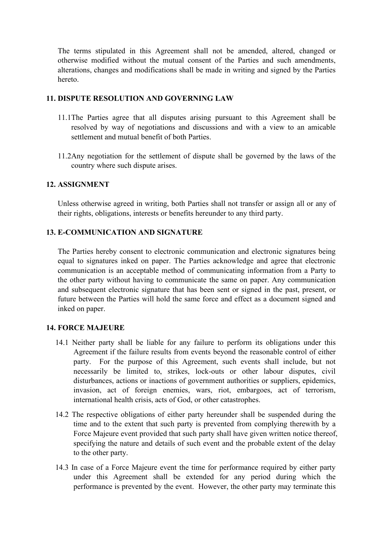The terms stipulated in this Agreement shall not be amended, altered, changed or otherwise modified without the mutual consent of the Parties and such amendments, alterations, changes and modifications shall be made in writing and signed by the Parties hereto.

#### **11. DISPUTE RESOLUTION AND GOVERNING LAW**

- 11.1The Parties agree that all disputes arising pursuant to this Agreement shall be resolved by way of negotiations and discussions and with a view to an amicable settlement and mutual benefit of both Parties.
- 11.2Any negotiation for the settlement of dispute shall be governed by the laws of the country where such dispute arises.

#### **12. ASSIGNMENT**

Unless otherwise agreed in writing, both Parties shall not transfer or assign all or any of their rights, obligations, interests or benefits hereunder to any third party.

#### **13. E-COMMUNICATION AND SIGNATURE**

The Parties hereby consent to electronic communication and electronic signatures being equal to signatures inked on paper. The Parties acknowledge and agree that electronic communication is an acceptable method of communicating information from a Party to the other party without having to communicate the same on paper. Any communication and subsequent electronic signature that has been sent orsigned in the past, present, or future between the Parties will hold the same force and effect as a document signed and inked on paper.

#### **14. FORCE MAJEURE**

- 14.1 Neither party shall be liable for any failure to perform its obligations under this Agreement if the failure results from events beyond the reasonable control of either party. For the purpose of this Agreement, such events shall include, but not necessarily be limited to, strikes, lock-outs or other labour disputes, civil disturbances, actions or inactions of government authorities or suppliers, epidemics, invasion, act of foreign enemies, wars, riot, embargoes, act of terrorism, international health crisis, acts of God, or other catastrophes.
- 14.2 The respective obligations of either party hereunder shall be suspended during the time and to the extent that such party is prevented from complying therewith by a Force Majeure event provided that such party shall have given written notice thereof, specifying the nature and details of such event and the probable extent of the delay to the other party.
- 14.3 In case of a Force Majeure event the time for performance required by either party under this Agreement shall be extended for any period during which the performance is prevented by the event. However, the other party may terminate this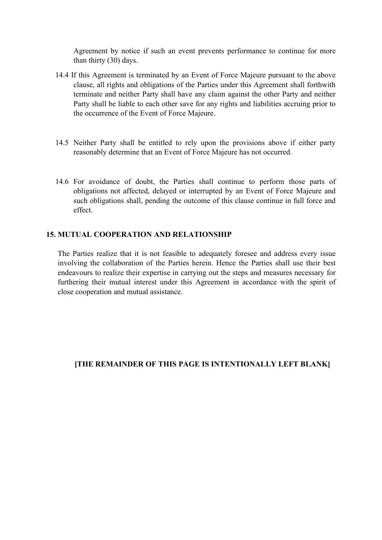Agreement by notice if such an event prevents performance to continue for more than thirty (30) days.

- 14.4 If this Agreement is terminated by an Event of Force Majeure pursuant to the above clause, all rights and obligations of the Parties under this Agreement shall forthwith terminate and neither Party shall have any claim against the other Party and neither Party shall be liable to each other save for any rights and liabilities accruing prior to the occurrence of the Event of Force Majeure.
- 14.5 Neither Party shall be entitled to rely upon the provisions above if either party reasonably determine that an Event of Force Majeure has not occurred.
- 14.6 For avoidance of doubt, the Parties shall continue to perform those parts of obligations not affected, delayed or interrupted by an Event of Force Majeure and such obligations shall, pending the outcome of this clause continue in full force and effect.

#### **15. MUTUAL COOPERATION AND RELATIONSHIP**

The Parties realize that it is not feasible to adequately foresee and address every issue involving the collaboration of the Parties herein. Hence the Parties shall use their best endeavours to realize their expertise in carrying out the steps and measures necessary for furthering their mutual interest under this Agreement in accordance with the spirit of close cooperation and mutual assistance.

#### **[THE REMAINDER OF THIS PAGE IS INTENTIONALLY LEFT BLANK]**